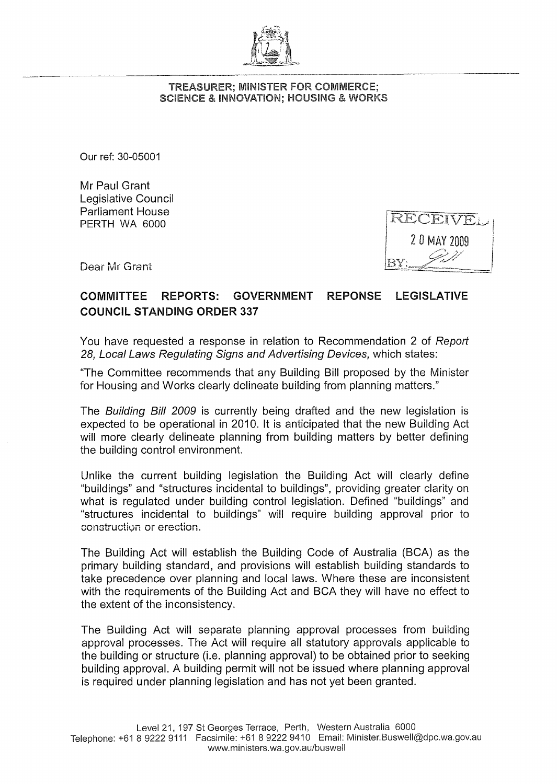

## TREASURER; MINISTER FOR COMMERCE; SCIENCE & INNOVATION; HOUSING & WORKS

Our ref: 30-05001

Mr Paul Grant Legislative Council Parliament House PERTH WA 6000

RECEIVE 20 MAY 2009

Dear Mr Grant

## COMMITTEE REPORTS: GOVERNMENT REPONSE LEGISLATIVE COUNCIL STANDING ORDER 337

You have requested a response in relation to Recommendation 2 of Report 28, Local Laws Regulating Signs and Advertising Devices, which states:

"The Committee recommends that any Building Bill proposed by the Minister for Housing and Works clearly delineate building from planning matters."

The Building Bill 2009 is currently being drafted and the new legislation is expected to be operational in 2010. It is anticipated that the new Building Act will more clearly delineate planning from building matters by better defining the building control environment.

Unlike the current building legislation the Building Act will clearly define "buildings" and "structures incidental to buildings", providing greater clarity on what is regulated under building control legislation. Defined "buildings" and "structures incidental to buildings" will require building approval prior to construction or erection.

The Building Act will establish the Building Code of Australia (BCA) as the primary building standard, and provisions will establish building standards to take precedence over planning and local laws. Where these are inconsistent with the requirements of the Building Act and BCA they will have no effect to the extent of the inconsistency.

The Building Act will separate planning approval processes from building approval processes. The Act will require all statutory approvals applicable to the building or structure (i.e. planning approval) to be obtained prior to seeking building approval. A building permit will not be issued where planning approval is required under planning legislation and has not yet been granted.